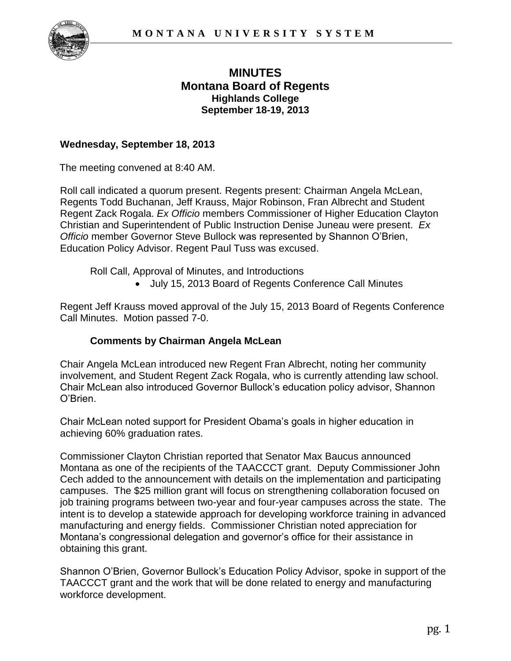

# **MINUTES Montana Board of Regents Highlands College September 18-19, 2013**

### **Wednesday, September 18, 2013**

The meeting convened at 8:40 AM.

Roll call indicated a quorum present. Regents present: Chairman Angela McLean, Regents Todd Buchanan, Jeff Krauss, Major Robinson, Fran Albrecht and Student Regent Zack Rogala. *Ex Officio* members Commissioner of Higher Education Clayton Christian and Superintendent of Public Instruction Denise Juneau were present. *Ex Officio* member Governor Steve Bullock was represented by Shannon O'Brien, Education Policy Advisor. Regent Paul Tuss was excused.

Roll Call, Approval of Minutes, and Introductions

July 15, 2013 Board of Regents Conference Call Minutes

Regent Jeff Krauss moved approval of the July 15, 2013 Board of Regents Conference Call Minutes. Motion passed 7-0.

## **Comments by Chairman Angela McLean**

Chair Angela McLean introduced new Regent Fran Albrecht, noting her community involvement, and Student Regent Zack Rogala, who is currently attending law school. Chair McLean also introduced Governor Bullock's education policy advisor, Shannon O'Brien.

Chair McLean noted support for President Obama's goals in higher education in achieving 60% graduation rates.

Commissioner Clayton Christian reported that Senator Max Baucus announced Montana as one of the recipients of the TAACCCT grant. Deputy Commissioner John Cech added to the announcement with details on the implementation and participating campuses. The \$25 million grant will focus on strengthening collaboration focused on job training programs between two-year and four-year campuses across the state. The intent is to develop a statewide approach for developing workforce training in advanced manufacturing and energy fields. Commissioner Christian noted appreciation for Montana's congressional delegation and governor's office for their assistance in obtaining this grant.

Shannon O'Brien, Governor Bullock's Education Policy Advisor, spoke in support of the TAACCCT grant and the work that will be done related to energy and manufacturing workforce development.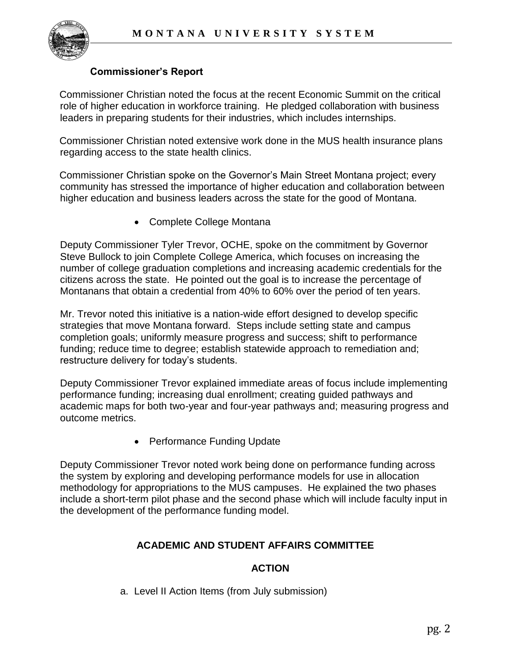

### **Commissioner's Report**

Commissioner Christian noted the focus at the recent Economic Summit on the critical role of higher education in workforce training. He pledged collaboration with business leaders in preparing students for their industries, which includes internships.

Commissioner Christian noted extensive work done in the MUS health insurance plans regarding access to the state health clinics.

Commissioner Christian spoke on the Governor's Main Street Montana project; every community has stressed the importance of higher education and collaboration between higher education and business leaders across the state for the good of Montana.

• Complete College Montana

Deputy Commissioner Tyler Trevor, OCHE, spoke on the commitment by Governor Steve Bullock to join Complete College America, which focuses on increasing the number of college graduation completions and increasing academic credentials for the citizens across the state. He pointed out the goal is to increase the percentage of Montanans that obtain a credential from 40% to 60% over the period of ten years.

Mr. Trevor noted this initiative is a nation-wide effort designed to develop specific strategies that move Montana forward. Steps include setting state and campus completion goals; uniformly measure progress and success; shift to performance funding; reduce time to degree; establish statewide approach to remediation and; restructure delivery for today's students.

Deputy Commissioner Trevor explained immediate areas of focus include implementing performance funding; increasing dual enrollment; creating guided pathways and academic maps for both two-year and four-year pathways and; measuring progress and outcome metrics.

• Performance Funding Update

Deputy Commissioner Trevor noted work being done on performance funding across the system by exploring and developing performance models for use in allocation methodology for appropriations to the MUS campuses. He explained the two phases include a short-term pilot phase and the second phase which will include faculty input in the development of the performance funding model.

## **ACADEMIC AND STUDENT AFFAIRS COMMITTEE**

# **ACTION**

a. Level II Action Items (from July submission)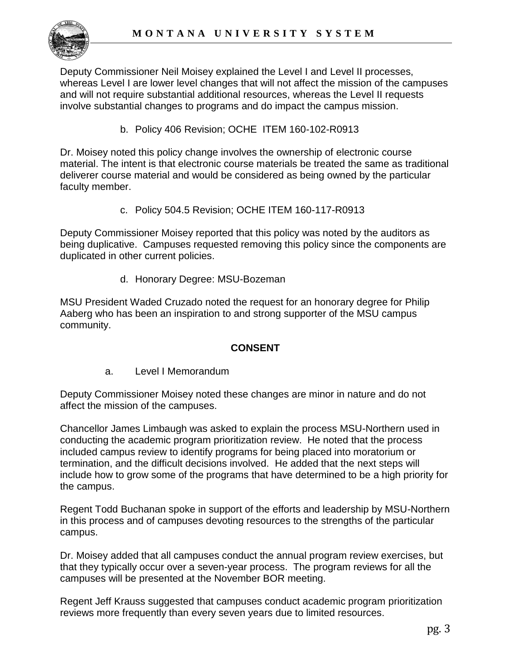

Deputy Commissioner Neil Moisey explained the Level I and Level II processes, whereas Level I are lower level changes that will not affect the mission of the campuses and will not require substantial additional resources, whereas the Level II requests involve substantial changes to programs and do impact the campus mission.

b. Policy 406 Revision; OCHE ITEM 160-102-R0913

Dr. Moisey noted this policy change involves the ownership of electronic course material. The intent is that electronic course materials be treated the same as traditional deliverer course material and would be considered as being owned by the particular faculty member.

c. Policy 504.5 Revision; OCHE ITEM 160-117-R0913

Deputy Commissioner Moisey reported that this policy was noted by the auditors as being duplicative. Campuses requested removing this policy since the components are duplicated in other current policies.

d. Honorary Degree: MSU-Bozeman

MSU President Waded Cruzado noted the request for an honorary degree for Philip Aaberg who has been an inspiration to and strong supporter of the MSU campus community.

# **CONSENT**

a. Level I Memorandum

Deputy Commissioner Moisey noted these changes are minor in nature and do not affect the mission of the campuses.

Chancellor James Limbaugh was asked to explain the process MSU-Northern used in conducting the academic program prioritization review. He noted that the process included campus review to identify programs for being placed into moratorium or termination, and the difficult decisions involved. He added that the next steps will include how to grow some of the programs that have determined to be a high priority for the campus.

Regent Todd Buchanan spoke in support of the efforts and leadership by MSU-Northern in this process and of campuses devoting resources to the strengths of the particular campus.

Dr. Moisey added that all campuses conduct the annual program review exercises, but that they typically occur over a seven-year process. The program reviews for all the campuses will be presented at the November BOR meeting.

Regent Jeff Krauss suggested that campuses conduct academic program prioritization reviews more frequently than every seven years due to limited resources.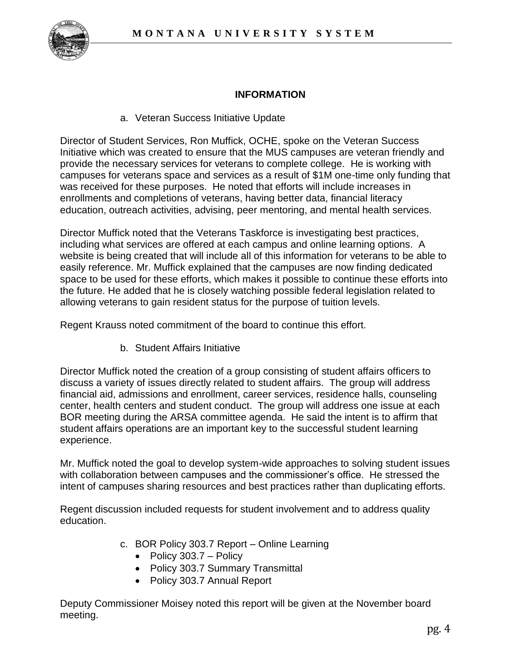

# **INFORMATION**

a. Veteran Success Initiative Update

Director of Student Services, Ron Muffick, OCHE, spoke on the Veteran Success Initiative which was created to ensure that the MUS campuses are veteran friendly and provide the necessary services for veterans to complete college. He is working with campuses for veterans space and services as a result of \$1M one-time only funding that was received for these purposes. He noted that efforts will include increases in enrollments and completions of veterans, having better data, financial literacy education, outreach activities, advising, peer mentoring, and mental health services.

Director Muffick noted that the Veterans Taskforce is investigating best practices, including what services are offered at each campus and online learning options. A website is being created that will include all of this information for veterans to be able to easily reference. Mr. Muffick explained that the campuses are now finding dedicated space to be used for these efforts, which makes it possible to continue these efforts into the future. He added that he is closely watching possible federal legislation related to allowing veterans to gain resident status for the purpose of tuition levels.

Regent Krauss noted commitment of the board to continue this effort.

b. Student Affairs Initiative

Director Muffick noted the creation of a group consisting of student affairs officers to discuss a variety of issues directly related to student affairs. The group will address financial aid, admissions and enrollment, career services, residence halls, counseling center, health centers and student conduct. The group will address one issue at each BOR meeting during the ARSA committee agenda. He said the intent is to affirm that student affairs operations are an important key to the successful student learning experience.

Mr. Muffick noted the goal to develop system-wide approaches to solving student issues with collaboration between campuses and the commissioner's office. He stressed the intent of campuses sharing resources and best practices rather than duplicating efforts.

Regent discussion included requests for student involvement and to address quality education.

- c. BOR Policy 303.7 Report Online Learning
	- $\bullet$  Policy 303.7 Policy
	- Policy 303.7 Summary Transmittal
	- Policy 303.7 Annual Report

Deputy Commissioner Moisey noted this report will be given at the November board meeting.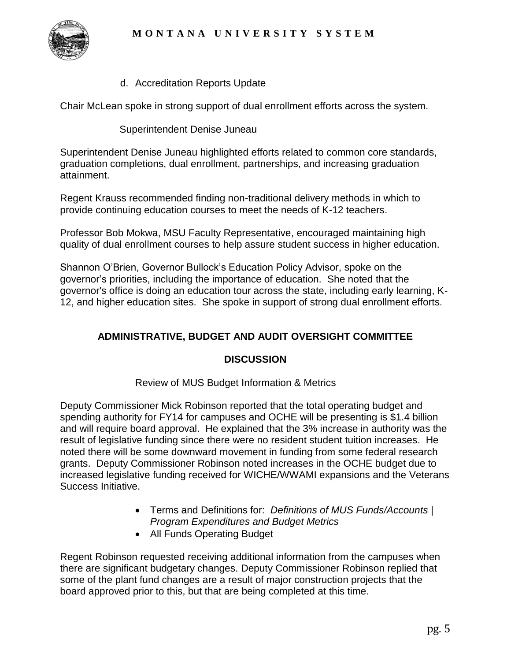

d. Accreditation Reports Update

Chair McLean spoke in strong support of dual enrollment efforts across the system.

Superintendent Denise Juneau

Superintendent Denise Juneau highlighted efforts related to common core standards, graduation completions, dual enrollment, partnerships, and increasing graduation attainment.

Regent Krauss recommended finding non-traditional delivery methods in which to provide continuing education courses to meet the needs of K-12 teachers.

Professor Bob Mokwa, MSU Faculty Representative, encouraged maintaining high quality of dual enrollment courses to help assure student success in higher education.

Shannon O'Brien, Governor Bullock's Education Policy Advisor, spoke on the governor's priorities, including the importance of education. She noted that the governor's office is doing an education tour across the state, including early learning, K-12, and higher education sites. She spoke in support of strong dual enrollment efforts.

# **ADMINISTRATIVE, BUDGET AND AUDIT OVERSIGHT COMMITTEE**

#### **DISCUSSION**

Review of MUS Budget Information & Metrics

Deputy Commissioner Mick Robinson reported that the total operating budget and spending authority for FY14 for campuses and OCHE will be presenting is \$1.4 billion and will require board approval. He explained that the 3% increase in authority was the result of legislative funding since there were no resident student tuition increases. He noted there will be some downward movement in funding from some federal research grants. Deputy Commissioner Robinson noted increases in the OCHE budget due to increased legislative funding received for WICHE/WWAMI expansions and the Veterans Success Initiative.

- Terms and Definitions for: *Definitions of MUS Funds/Accounts | Program Expenditures and Budget Metrics*
- All Funds Operating Budget

Regent Robinson requested receiving additional information from the campuses when there are significant budgetary changes. Deputy Commissioner Robinson replied that some of the plant fund changes are a result of major construction projects that the board approved prior to this, but that are being completed at this time.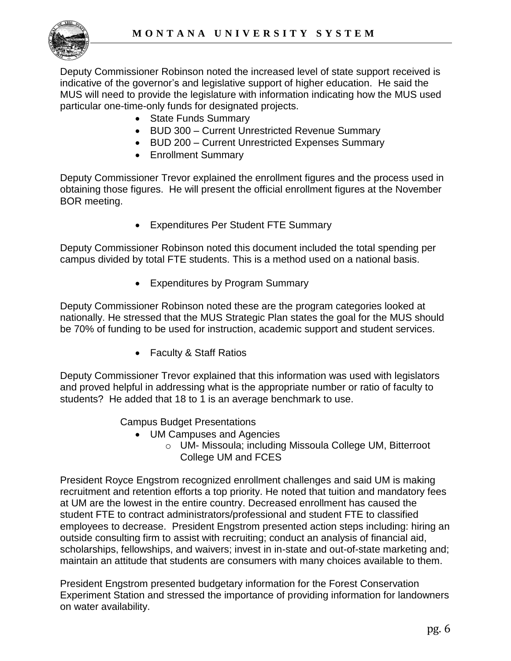

Deputy Commissioner Robinson noted the increased level of state support received is indicative of the governor's and legislative support of higher education. He said the MUS will need to provide the legislature with information indicating how the MUS used particular one-time-only funds for designated projects.

- State Funds Summary
- BUD 300 Current Unrestricted Revenue Summary
- BUD 200 Current Unrestricted Expenses Summary
- Enrollment Summary

Deputy Commissioner Trevor explained the enrollment figures and the process used in obtaining those figures. He will present the official enrollment figures at the November BOR meeting.

Expenditures Per Student FTE Summary

Deputy Commissioner Robinson noted this document included the total spending per campus divided by total FTE students. This is a method used on a national basis.

Expenditures by Program Summary

Deputy Commissioner Robinson noted these are the program categories looked at nationally. He stressed that the MUS Strategic Plan states the goal for the MUS should be 70% of funding to be used for instruction, academic support and student services.

• Faculty & Staff Ratios

Deputy Commissioner Trevor explained that this information was used with legislators and proved helpful in addressing what is the appropriate number or ratio of faculty to students? He added that 18 to 1 is an average benchmark to use.

Campus Budget Presentations

- UM Campuses and Agencies
	- o UM- Missoula; including Missoula College UM, Bitterroot College UM and FCES

President Royce Engstrom recognized enrollment challenges and said UM is making recruitment and retention efforts a top priority. He noted that tuition and mandatory fees at UM are the lowest in the entire country. Decreased enrollment has caused the student FTE to contract administrators/professional and student FTE to classified employees to decrease. President Engstrom presented action steps including: hiring an outside consulting firm to assist with recruiting; conduct an analysis of financial aid, scholarships, fellowships, and waivers; invest in in-state and out-of-state marketing and; maintain an attitude that students are consumers with many choices available to them.

President Engstrom presented budgetary information for the Forest Conservation Experiment Station and stressed the importance of providing information for landowners on water availability.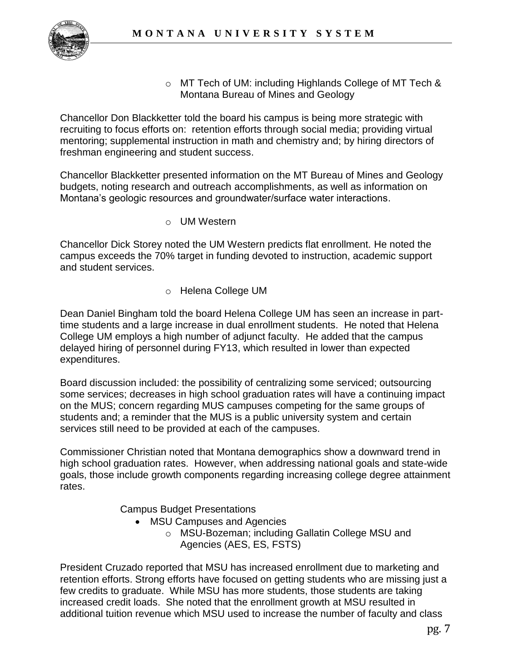

o MT Tech of UM: including Highlands College of MT Tech & Montana Bureau of Mines and Geology

Chancellor Don Blackketter told the board his campus is being more strategic with recruiting to focus efforts on: retention efforts through social media; providing virtual mentoring; supplemental instruction in math and chemistry and; by hiring directors of freshman engineering and student success.

Chancellor Blackketter presented information on the MT Bureau of Mines and Geology budgets, noting research and outreach accomplishments, as well as information on Montana's geologic resources and groundwater/surface water interactions.

o UM Western

Chancellor Dick Storey noted the UM Western predicts flat enrollment. He noted the campus exceeds the 70% target in funding devoted to instruction, academic support and student services.

o Helena College UM

Dean Daniel Bingham told the board Helena College UM has seen an increase in parttime students and a large increase in dual enrollment students. He noted that Helena College UM employs a high number of adjunct faculty. He added that the campus delayed hiring of personnel during FY13, which resulted in lower than expected expenditures.

Board discussion included: the possibility of centralizing some serviced; outsourcing some services; decreases in high school graduation rates will have a continuing impact on the MUS; concern regarding MUS campuses competing for the same groups of students and; a reminder that the MUS is a public university system and certain services still need to be provided at each of the campuses.

Commissioner Christian noted that Montana demographics show a downward trend in high school graduation rates. However, when addressing national goals and state-wide goals, those include growth components regarding increasing college degree attainment rates.

Campus Budget Presentations

- MSU Campuses and Agencies
	- o MSU-Bozeman; including Gallatin College MSU and Agencies (AES, ES, FSTS)

President Cruzado reported that MSU has increased enrollment due to marketing and retention efforts. Strong efforts have focused on getting students who are missing just a few credits to graduate. While MSU has more students, those students are taking increased credit loads. She noted that the enrollment growth at MSU resulted in additional tuition revenue which MSU used to increase the number of faculty and class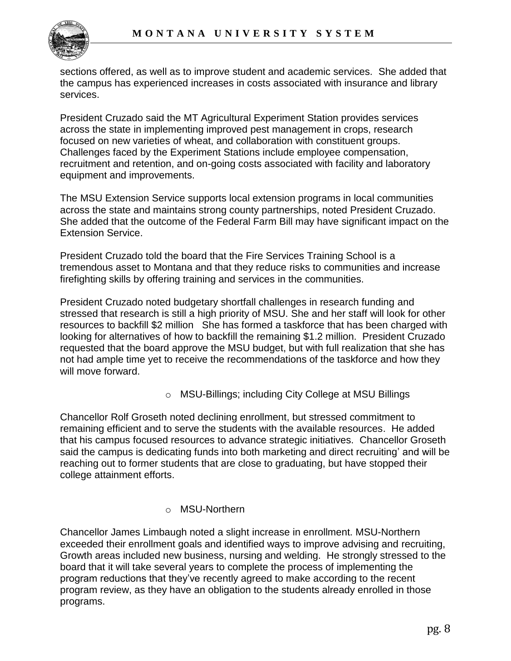

sections offered, as well as to improve student and academic services. She added that the campus has experienced increases in costs associated with insurance and library services.

President Cruzado said the MT Agricultural Experiment Station provides services across the state in implementing improved pest management in crops, research focused on new varieties of wheat, and collaboration with constituent groups. Challenges faced by the Experiment Stations include employee compensation, recruitment and retention, and on-going costs associated with facility and laboratory equipment and improvements.

The MSU Extension Service supports local extension programs in local communities across the state and maintains strong county partnerships, noted President Cruzado. She added that the outcome of the Federal Farm Bill may have significant impact on the Extension Service.

President Cruzado told the board that the Fire Services Training School is a tremendous asset to Montana and that they reduce risks to communities and increase firefighting skills by offering training and services in the communities.

President Cruzado noted budgetary shortfall challenges in research funding and stressed that research is still a high priority of MSU. She and her staff will look for other resources to backfill \$2 million She has formed a taskforce that has been charged with looking for alternatives of how to backfill the remaining \$1.2 million. President Cruzado requested that the board approve the MSU budget, but with full realization that she has not had ample time yet to receive the recommendations of the taskforce and how they will move forward.

o MSU-Billings; including City College at MSU Billings

Chancellor Rolf Groseth noted declining enrollment, but stressed commitment to remaining efficient and to serve the students with the available resources. He added that his campus focused resources to advance strategic initiatives. Chancellor Groseth said the campus is dedicating funds into both marketing and direct recruiting' and will be reaching out to former students that are close to graduating, but have stopped their college attainment efforts.

## o MSU-Northern

Chancellor James Limbaugh noted a slight increase in enrollment. MSU-Northern exceeded their enrollment goals and identified ways to improve advising and recruiting, Growth areas included new business, nursing and welding. He strongly stressed to the board that it will take several years to complete the process of implementing the program reductions that they've recently agreed to make according to the recent program review, as they have an obligation to the students already enrolled in those programs.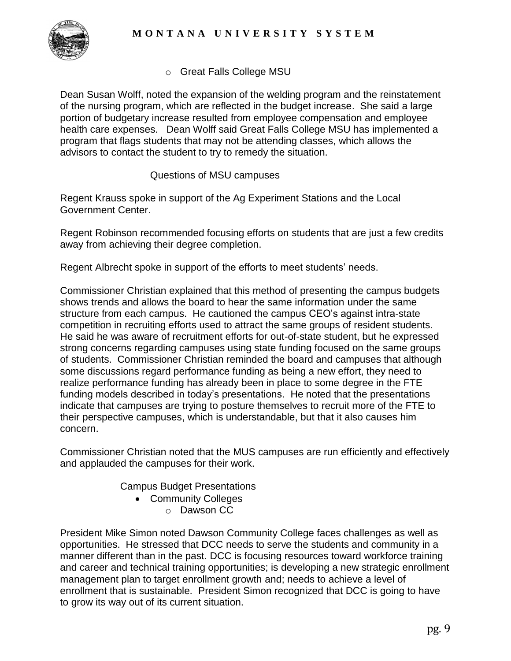

# o Great Falls College MSU

Dean Susan Wolff, noted the expansion of the welding program and the reinstatement of the nursing program, which are reflected in the budget increase. She said a large portion of budgetary increase resulted from employee compensation and employee health care expenses. Dean Wolff said Great Falls College MSU has implemented a program that flags students that may not be attending classes, which allows the advisors to contact the student to try to remedy the situation.

Questions of MSU campuses

Regent Krauss spoke in support of the Ag Experiment Stations and the Local Government Center.

Regent Robinson recommended focusing efforts on students that are just a few credits away from achieving their degree completion.

Regent Albrecht spoke in support of the efforts to meet students' needs.

Commissioner Christian explained that this method of presenting the campus budgets shows trends and allows the board to hear the same information under the same structure from each campus. He cautioned the campus CEO's against intra-state competition in recruiting efforts used to attract the same groups of resident students. He said he was aware of recruitment efforts for out-of-state student, but he expressed strong concerns regarding campuses using state funding focused on the same groups of students. Commissioner Christian reminded the board and campuses that although some discussions regard performance funding as being a new effort, they need to realize performance funding has already been in place to some degree in the FTE funding models described in today's presentations. He noted that the presentations indicate that campuses are trying to posture themselves to recruit more of the FTE to their perspective campuses, which is understandable, but that it also causes him concern.

Commissioner Christian noted that the MUS campuses are run efficiently and effectively and applauded the campuses for their work.

Campus Budget Presentations

- Community Colleges
	- o Dawson CC

President Mike Simon noted Dawson Community College faces challenges as well as opportunities. He stressed that DCC needs to serve the students and community in a manner different than in the past. DCC is focusing resources toward workforce training and career and technical training opportunities; is developing a new strategic enrollment management plan to target enrollment growth and; needs to achieve a level of enrollment that is sustainable. President Simon recognized that DCC is going to have to grow its way out of its current situation.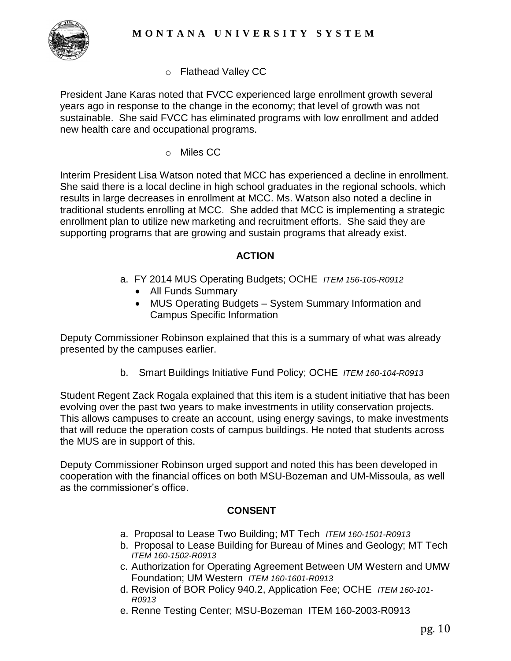

o Flathead Valley CC

President Jane Karas noted that FVCC experienced large enrollment growth several years ago in response to the change in the economy; that level of growth was not sustainable. She said FVCC has eliminated programs with low enrollment and added new health care and occupational programs.

o Miles CC

Interim President Lisa Watson noted that MCC has experienced a decline in enrollment. She said there is a local decline in high school graduates in the regional schools, which results in large decreases in enrollment at MCC. Ms. Watson also noted a decline in traditional students enrolling at MCC. She added that MCC is implementing a strategic enrollment plan to utilize new marketing and recruitment efforts. She said they are supporting programs that are growing and sustain programs that already exist.

### **ACTION**

- a. FY 2014 MUS Operating Budgets; OCHE *ITEM 156-105-R0912* 
	- All Funds Summary
	- MUS Operating Budgets System Summary Information and Campus Specific Information

Deputy Commissioner Robinson explained that this is a summary of what was already presented by the campuses earlier.

b. Smart Buildings Initiative Fund Policy; OCHE *ITEM 160-104-R0913* 

Student Regent Zack Rogala explained that this item is a student initiative that has been evolving over the past two years to make investments in utility conservation projects. This allows campuses to create an account, using energy savings, to make investments that will reduce the operation costs of campus buildings. He noted that students across the MUS are in support of this.

Deputy Commissioner Robinson urged support and noted this has been developed in cooperation with the financial offices on both MSU-Bozeman and UM-Missoula, as well as the commissioner's office.

## **CONSENT**

- a. Proposal to Lease Two Building; MT Tech *ITEM 160-1501-R0913*
- b. Proposal to Lease Building for Bureau of Mines and Geology; MT Tech *ITEM 160-1502-R0913*
- c. Authorization for Operating Agreement Between UM Western and UMW Foundation; UM Western *ITEM 160-1601-R0913*
- d. Revision of BOR Policy 940.2, Application Fee; OCHE *ITEM 160-101- R0913*
- e. Renne Testing Center; MSU-Bozeman ITEM 160-2003-R0913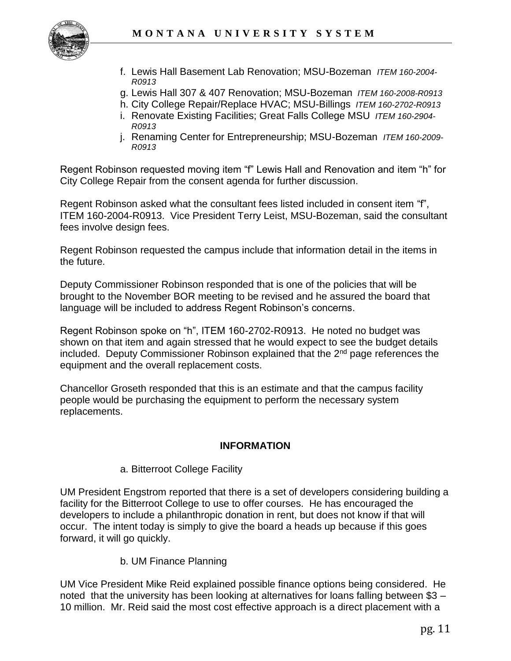

- f. Lewis Hall Basement Lab Renovation; MSU-Bozeman *ITEM 160-2004- R0913*
- g. Lewis Hall 307 & 407 Renovation; MSU-Bozeman *ITEM 160-2008-R0913*
- h. City College Repair/Replace HVAC; MSU-Billings *ITEM 160-2702-R0913*
- i. Renovate Existing Facilities; Great Falls College MSU *ITEM 160-2904- R0913*
- j. Renaming Center for Entrepreneurship; MSU-Bozeman *ITEM 160-2009- R0913*

Regent Robinson requested moving item "f" Lewis Hall and Renovation and item "h" for City College Repair from the consent agenda for further discussion.

Regent Robinson asked what the consultant fees listed included in consent item "f", ITEM 160-2004-R0913. Vice President Terry Leist, MSU-Bozeman, said the consultant fees involve design fees.

Regent Robinson requested the campus include that information detail in the items in the future.

Deputy Commissioner Robinson responded that is one of the policies that will be brought to the November BOR meeting to be revised and he assured the board that language will be included to address Regent Robinson's concerns.

Regent Robinson spoke on "h", ITEM 160-2702-R0913. He noted no budget was shown on that item and again stressed that he would expect to see the budget details included. Deputy Commissioner Robinson explained that the  $2<sup>nd</sup>$  page references the equipment and the overall replacement costs.

Chancellor Groseth responded that this is an estimate and that the campus facility people would be purchasing the equipment to perform the necessary system replacements.

#### **INFORMATION**

#### a. Bitterroot College Facility

UM President Engstrom reported that there is a set of developers considering building a facility for the Bitterroot College to use to offer courses. He has encouraged the developers to include a philanthropic donation in rent, but does not know if that will occur. The intent today is simply to give the board a heads up because if this goes forward, it will go quickly.

b. UM Finance Planning

UM Vice President Mike Reid explained possible finance options being considered. He noted that the university has been looking at alternatives for loans falling between \$3 – 10 million. Mr. Reid said the most cost effective approach is a direct placement with a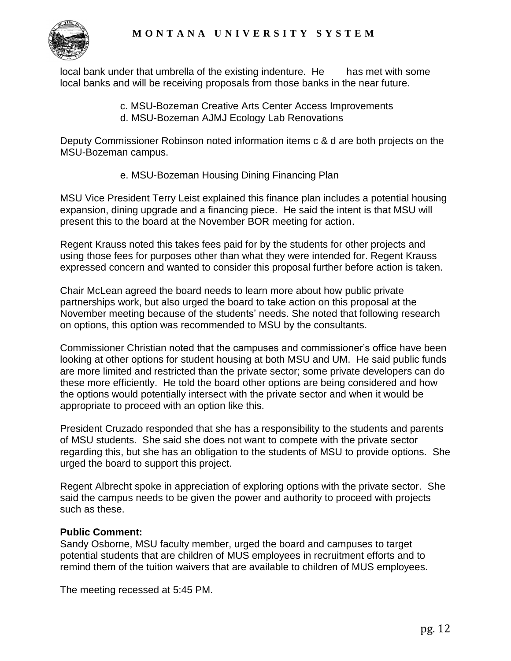

local bank under that umbrella of the existing indenture. He has met with some local banks and will be receiving proposals from those banks in the near future.

- c. MSU-Bozeman Creative Arts Center Access Improvements
- d. MSU-Bozeman AJMJ Ecology Lab Renovations

Deputy Commissioner Robinson noted information items c & d are both projects on the MSU-Bozeman campus.

e. MSU-Bozeman Housing Dining Financing Plan

MSU Vice President Terry Leist explained this finance plan includes a potential housing expansion, dining upgrade and a financing piece. He said the intent is that MSU will present this to the board at the November BOR meeting for action.

Regent Krauss noted this takes fees paid for by the students for other projects and using those fees for purposes other than what they were intended for. Regent Krauss expressed concern and wanted to consider this proposal further before action is taken.

Chair McLean agreed the board needs to learn more about how public private partnerships work, but also urged the board to take action on this proposal at the November meeting because of the students' needs. She noted that following research on options, this option was recommended to MSU by the consultants.

Commissioner Christian noted that the campuses and commissioner's office have been looking at other options for student housing at both MSU and UM. He said public funds are more limited and restricted than the private sector; some private developers can do these more efficiently. He told the board other options are being considered and how the options would potentially intersect with the private sector and when it would be appropriate to proceed with an option like this.

President Cruzado responded that she has a responsibility to the students and parents of MSU students. She said she does not want to compete with the private sector regarding this, but she has an obligation to the students of MSU to provide options. She urged the board to support this project.

Regent Albrecht spoke in appreciation of exploring options with the private sector. She said the campus needs to be given the power and authority to proceed with projects such as these.

## **Public Comment:**

Sandy Osborne, MSU faculty member, urged the board and campuses to target potential students that are children of MUS employees in recruitment efforts and to remind them of the tuition waivers that are available to children of MUS employees.

The meeting recessed at 5:45 PM.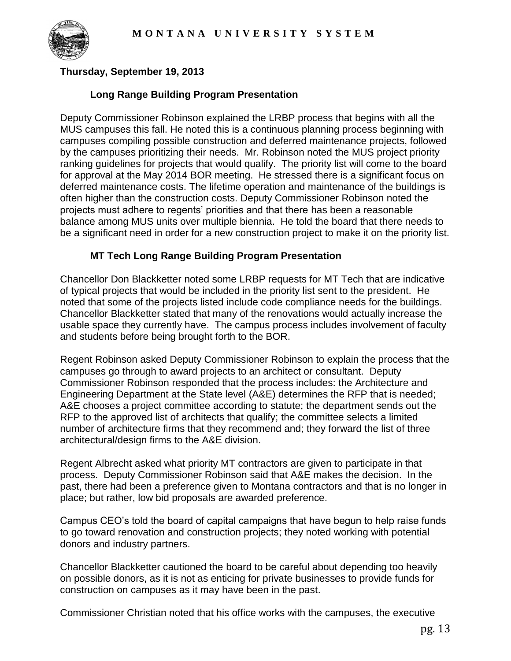

## **Thursday, September 19, 2013**

### **Long Range Building Program Presentation**

Deputy Commissioner Robinson explained the LRBP process that begins with all the MUS campuses this fall. He noted this is a continuous planning process beginning with campuses compiling possible construction and deferred maintenance projects, followed by the campuses prioritizing their needs. Mr. Robinson noted the MUS project priority ranking guidelines for projects that would qualify. The priority list will come to the board for approval at the May 2014 BOR meeting. He stressed there is a significant focus on deferred maintenance costs. The lifetime operation and maintenance of the buildings is often higher than the construction costs. Deputy Commissioner Robinson noted the projects must adhere to regents' priorities and that there has been a reasonable balance among MUS units over multiple biennia. He told the board that there needs to be a significant need in order for a new construction project to make it on the priority list.

#### **MT Tech Long Range Building Program Presentation**

Chancellor Don Blackketter noted some LRBP requests for MT Tech that are indicative of typical projects that would be included in the priority list sent to the president. He noted that some of the projects listed include code compliance needs for the buildings. Chancellor Blackketter stated that many of the renovations would actually increase the usable space they currently have. The campus process includes involvement of faculty and students before being brought forth to the BOR.

Regent Robinson asked Deputy Commissioner Robinson to explain the process that the campuses go through to award projects to an architect or consultant. Deputy Commissioner Robinson responded that the process includes: the Architecture and Engineering Department at the State level (A&E) determines the RFP that is needed; A&E chooses a project committee according to statute; the department sends out the RFP to the approved list of architects that qualify; the committee selects a limited number of architecture firms that they recommend and; they forward the list of three architectural/design firms to the A&E division.

Regent Albrecht asked what priority MT contractors are given to participate in that process. Deputy Commissioner Robinson said that A&E makes the decision. In the past, there had been a preference given to Montana contractors and that is no longer in place; but rather, low bid proposals are awarded preference.

Campus CEO's told the board of capital campaigns that have begun to help raise funds to go toward renovation and construction projects; they noted working with potential donors and industry partners.

Chancellor Blackketter cautioned the board to be careful about depending too heavily on possible donors, as it is not as enticing for private businesses to provide funds for construction on campuses as it may have been in the past.

Commissioner Christian noted that his office works with the campuses, the executive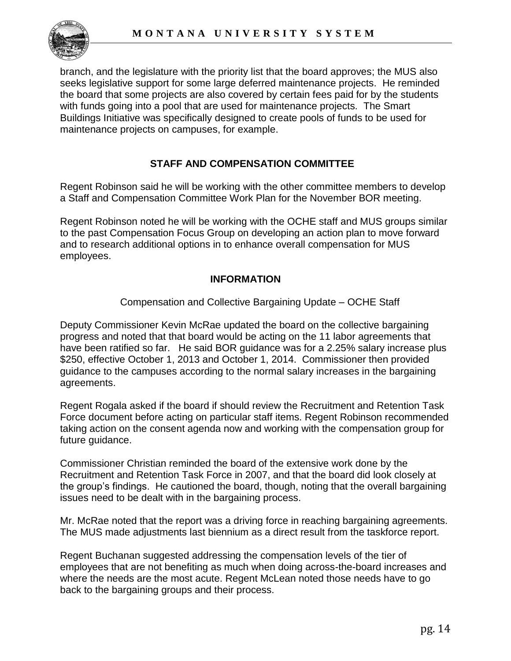

branch, and the legislature with the priority list that the board approves; the MUS also seeks legislative support for some large deferred maintenance projects. He reminded the board that some projects are also covered by certain fees paid for by the students with funds going into a pool that are used for maintenance projects. The Smart Buildings Initiative was specifically designed to create pools of funds to be used for maintenance projects on campuses, for example.

### **STAFF AND COMPENSATION COMMITTEE**

Regent Robinson said he will be working with the other committee members to develop a Staff and Compensation Committee Work Plan for the November BOR meeting.

Regent Robinson noted he will be working with the OCHE staff and MUS groups similar to the past Compensation Focus Group on developing an action plan to move forward and to research additional options in to enhance overall compensation for MUS employees.

### **INFORMATION**

#### Compensation and Collective Bargaining Update – OCHE Staff

Deputy Commissioner Kevin McRae updated the board on the collective bargaining progress and noted that that board would be acting on the 11 labor agreements that have been ratified so far. He said BOR guidance was for a 2.25% salary increase plus \$250, effective October 1, 2013 and October 1, 2014. Commissioner then provided guidance to the campuses according to the normal salary increases in the bargaining agreements.

Regent Rogala asked if the board if should review the Recruitment and Retention Task Force document before acting on particular staff items. Regent Robinson recommended taking action on the consent agenda now and working with the compensation group for future guidance.

Commissioner Christian reminded the board of the extensive work done by the Recruitment and Retention Task Force in 2007, and that the board did look closely at the group's findings. He cautioned the board, though, noting that the overall bargaining issues need to be dealt with in the bargaining process.

Mr. McRae noted that the report was a driving force in reaching bargaining agreements. The MUS made adjustments last biennium as a direct result from the taskforce report.

Regent Buchanan suggested addressing the compensation levels of the tier of employees that are not benefiting as much when doing across-the-board increases and where the needs are the most acute. Regent McLean noted those needs have to go back to the bargaining groups and their process.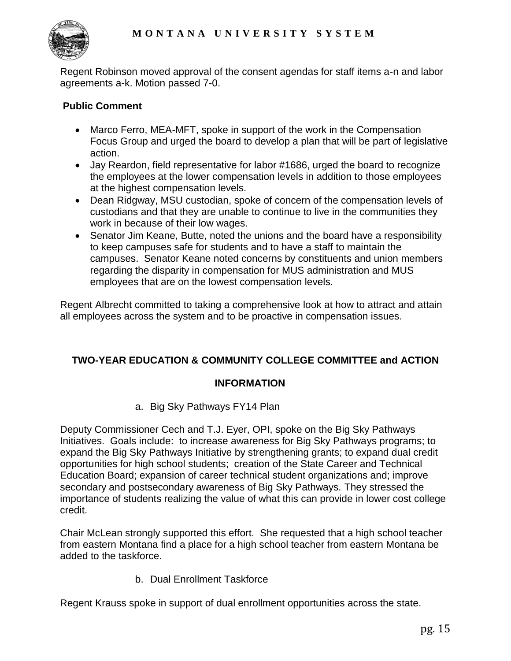

Regent Robinson moved approval of the consent agendas for staff items a-n and labor agreements a-k. Motion passed 7-0.

# **Public Comment**

- Marco Ferro, MEA-MFT, spoke in support of the work in the Compensation Focus Group and urged the board to develop a plan that will be part of legislative action.
- Jay Reardon, field representative for labor #1686, urged the board to recognize the employees at the lower compensation levels in addition to those employees at the highest compensation levels.
- Dean Ridgway, MSU custodian, spoke of concern of the compensation levels of custodians and that they are unable to continue to live in the communities they work in because of their low wages.
- Senator Jim Keane, Butte, noted the unions and the board have a responsibility to keep campuses safe for students and to have a staff to maintain the campuses. Senator Keane noted concerns by constituents and union members regarding the disparity in compensation for MUS administration and MUS employees that are on the lowest compensation levels.

Regent Albrecht committed to taking a comprehensive look at how to attract and attain all employees across the system and to be proactive in compensation issues.

# **TWO-YEAR EDUCATION & COMMUNITY COLLEGE COMMITTEE and ACTION**

## **INFORMATION**

a. Big Sky Pathways FY14 Plan

Deputy Commissioner Cech and T.J. Eyer, OPI, spoke on the Big Sky Pathways Initiatives. Goals include: to increase awareness for Big Sky Pathways programs; to expand the Big Sky Pathways Initiative by strengthening grants; to expand dual credit opportunities for high school students; creation of the State Career and Technical Education Board; expansion of career technical student organizations and; improve secondary and postsecondary awareness of Big Sky Pathways. They stressed the importance of students realizing the value of what this can provide in lower cost college credit.

Chair McLean strongly supported this effort. She requested that a high school teacher from eastern Montana find a place for a high school teacher from eastern Montana be added to the taskforce.

b. Dual Enrollment Taskforce

Regent Krauss spoke in support of dual enrollment opportunities across the state.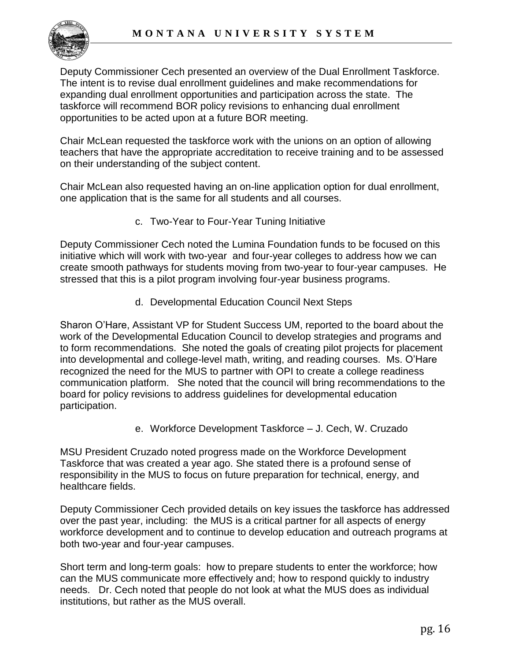

Deputy Commissioner Cech presented an overview of the Dual Enrollment Taskforce. The intent is to revise dual enrollment guidelines and make recommendations for expanding dual enrollment opportunities and participation across the state. The taskforce will recommend BOR policy revisions to enhancing dual enrollment opportunities to be acted upon at a future BOR meeting.

Chair McLean requested the taskforce work with the unions on an option of allowing teachers that have the appropriate accreditation to receive training and to be assessed on their understanding of the subject content.

Chair McLean also requested having an on-line application option for dual enrollment, one application that is the same for all students and all courses.

c. Two-Year to Four-Year Tuning Initiative

Deputy Commissioner Cech noted the Lumina Foundation funds to be focused on this initiative which will work with two-year and four-year colleges to address how we can create smooth pathways for students moving from two-year to four-year campuses. He stressed that this is a pilot program involving four-year business programs.

d. Developmental Education Council Next Steps

Sharon O'Hare, Assistant VP for Student Success UM, reported to the board about the work of the Developmental Education Council to develop strategies and programs and to form recommendations. She noted the goals of creating pilot projects for placement into developmental and college-level math, writing, and reading courses. Ms. O'Hare recognized the need for the MUS to partner with OPI to create a college readiness communication platform. She noted that the council will bring recommendations to the board for policy revisions to address guidelines for developmental education participation.

e. Workforce Development Taskforce – J. Cech, W. Cruzado

MSU President Cruzado noted progress made on the Workforce Development Taskforce that was created a year ago. She stated there is a profound sense of responsibility in the MUS to focus on future preparation for technical, energy, and healthcare fields.

Deputy Commissioner Cech provided details on key issues the taskforce has addressed over the past year, including: the MUS is a critical partner for all aspects of energy workforce development and to continue to develop education and outreach programs at both two-year and four-year campuses.

Short term and long-term goals: how to prepare students to enter the workforce; how can the MUS communicate more effectively and; how to respond quickly to industry needs. Dr. Cech noted that people do not look at what the MUS does as individual institutions, but rather as the MUS overall.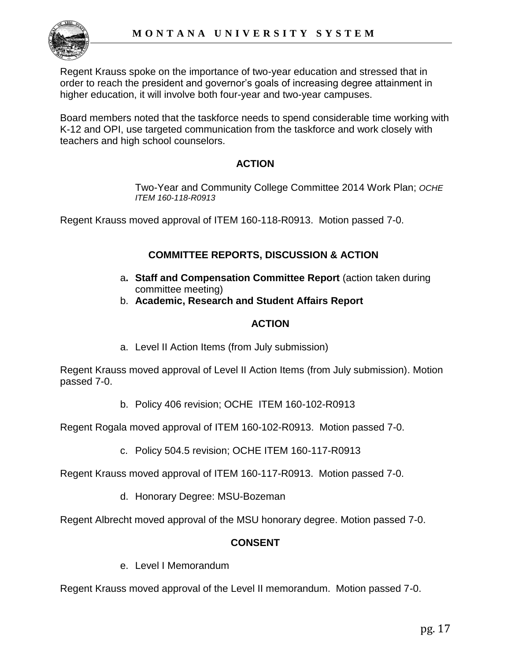

Regent Krauss spoke on the importance of two-year education and stressed that in order to reach the president and governor's goals of increasing degree attainment in higher education, it will involve both four-year and two-year campuses.

Board members noted that the taskforce needs to spend considerable time working with K-12 and OPI, use targeted communication from the taskforce and work closely with teachers and high school counselors.

### **ACTION**

Two-Year and Community College Committee 2014 Work Plan; *OCHE ITEM 160-118-R0913*

Regent Krauss moved approval of ITEM 160-118-R0913. Motion passed 7-0.

## **COMMITTEE REPORTS, DISCUSSION & ACTION**

- a**. Staff and Compensation Committee Report** (action taken during committee meeting)
- b. **Academic, Research and Student Affairs Report**

### **ACTION**

a. Level II Action Items (from July submission)

Regent Krauss moved approval of Level II Action Items (from July submission). Motion passed 7-0.

b. Policy 406 revision; OCHE ITEM 160-102-R0913

Regent Rogala moved approval of ITEM 160-102-R0913. Motion passed 7-0.

c. Policy 504.5 revision; OCHE ITEM 160-117-R0913

Regent Krauss moved approval of ITEM 160-117-R0913. Motion passed 7-0.

d. Honorary Degree: MSU-Bozeman

Regent Albrecht moved approval of the MSU honorary degree. Motion passed 7-0.

## **CONSENT**

e. Level I Memorandum

Regent Krauss moved approval of the Level II memorandum. Motion passed 7-0.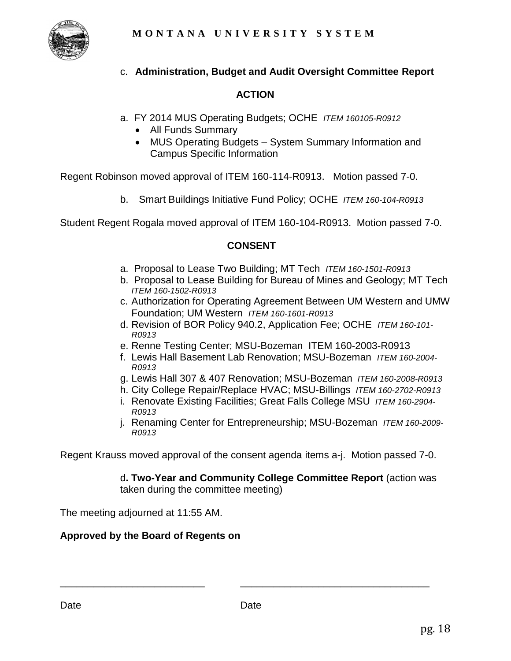

# c. **Administration, Budget and Audit Oversight Committee Report**

# **ACTION**

- a. FY 2014 MUS Operating Budgets; OCHE *ITEM 160105-R0912* 
	- All Funds Summary
	- MUS Operating Budgets System Summary Information and Campus Specific Information

Regent Robinson moved approval of ITEM 160-114-R0913. Motion passed 7-0.

b. Smart Buildings Initiative Fund Policy; OCHE *ITEM 160-104-R0913* 

Student Regent Rogala moved approval of ITEM 160-104-R0913. Motion passed 7-0.

#### **CONSENT**

- a. Proposal to Lease Two Building; MT Tech *ITEM 160-1501-R0913*
- b. Proposal to Lease Building for Bureau of Mines and Geology; MT Tech *ITEM 160-1502-R0913*
- c. Authorization for Operating Agreement Between UM Western and UMW Foundation; UM Western *ITEM 160-1601-R0913*
- d. Revision of BOR Policy 940.2, Application Fee; OCHE *ITEM 160-101- R0913*
- e. Renne Testing Center; MSU-Bozeman ITEM 160-2003-R0913
- f. Lewis Hall Basement Lab Renovation; MSU-Bozeman *ITEM 160-2004- R0913*
- g. Lewis Hall 307 & 407 Renovation; MSU-Bozeman *ITEM 160-2008-R0913*
- h. City College Repair/Replace HVAC; MSU-Billings *ITEM 160-2702-R0913*
- i. Renovate Existing Facilities; Great Falls College MSU *ITEM 160-2904- R0913*
- j. Renaming Center for Entrepreneurship; MSU-Bozeman *ITEM 160-2009- R0913*

Regent Krauss moved approval of the consent agenda items a-j. Motion passed 7-0.

d**. Two-Year and Community College Committee Report** (action was taken during the committee meeting)

The meeting adjourned at 11:55 AM.

#### **Approved by the Board of Regents on**

\_\_\_\_\_\_\_\_\_\_\_\_\_\_\_\_\_\_\_\_\_\_\_\_\_\_ \_\_\_\_\_\_\_\_\_\_\_\_\_\_\_\_\_\_\_\_\_\_\_\_\_\_\_\_\_\_\_\_\_\_